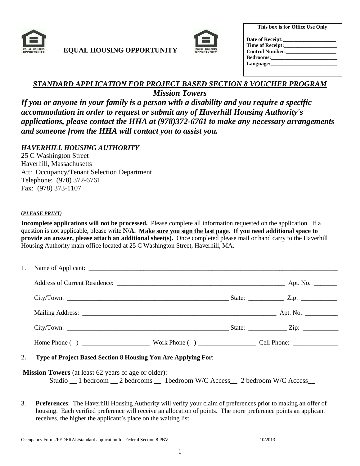

## **EQUAL HOUSING OPPORTUNITY**



| This box is for Office Use Only      |  |
|--------------------------------------|--|
| Date of Receipt:____________________ |  |
| Time of Receipt:                     |  |
| <b>Control Number:</b>               |  |
| <b>Bedrooms:</b>                     |  |
| Language:                            |  |
|                                      |  |

# *STANDARD APPLICATION FOR PROJECT BASED SECTION 8 VOUCHER PROGRAM*

*Mission Towers*

*If you or anyone in your family is a person with a disability and you require a specific accommodation in order to request or submit any of Haverhill Housing Authority's applications, please contact the HHA at (978)372-6761 to make any necessary arrangements and someone from the HHA will contact you to assist you.* 

*HAVERHILL HOUSING AUTHORITY*

25 C Washington Street Haverhill, Massachusetts Att: Occupancy/Tenant Selection Department Telephone: (978) 372-6761 Fax: (978) 373-1107

#### **(***PLEASE PRINT)*

**Incomplete applications will not be processed.** Please complete all information requested on the application. If a question is not applicable, please write **N/A. Make sure you sign the last page. If you need additional space to provide an answer, please attach an additional sheet(s).** Once completed please mail or hand carry to the Haverhill Housing Authority main office located at 25 C Washington Street, Haverhill, MA**.**

| $City/Down:$ $\frac{\qquad \qquad 2}{\qquad \qquad 2}$ $\qquad \qquad 2$ $\qquad \qquad 2$ $\qquad \qquad 2$ $\qquad \qquad 2$ $\qquad \qquad 2$ $\qquad \qquad 2$ $\qquad \qquad 2$ $\qquad \qquad 2$ $\qquad \qquad 2$ $\qquad \qquad 2$ $\qquad \qquad 2$ $\qquad \qquad 2$ $\qquad \qquad 2$ $\qquad \qquad 2$ $\qquad \qquad 2$ $\qquad \qquad 2$ $\qquad \qquad 2$ $\qquad$ |  |  |
|-----------------------------------------------------------------------------------------------------------------------------------------------------------------------------------------------------------------------------------------------------------------------------------------------------------------------------------------------------------------------------------|--|--|
|                                                                                                                                                                                                                                                                                                                                                                                   |  |  |
|                                                                                                                                                                                                                                                                                                                                                                                   |  |  |
|                                                                                                                                                                                                                                                                                                                                                                                   |  |  |

#### 2**. Type of Project Based Section 8 Housing You Are Applying For**:

**Mission Towers** (at least 62 years of age or older): Studio \_\_ 1 bedroom \_\_ 2 bedrooms \_\_ 1bedroom W/C Access\_\_ 2 bedroom W/C Access\_

3. **Preferences**: The Haverhill Housing Authority will verify your claim of preferences prior to making an offer of housing. Each verified preference will receive an allocation of points. The more preference points an applicant receives, the higher the applicant's place on the waiting list.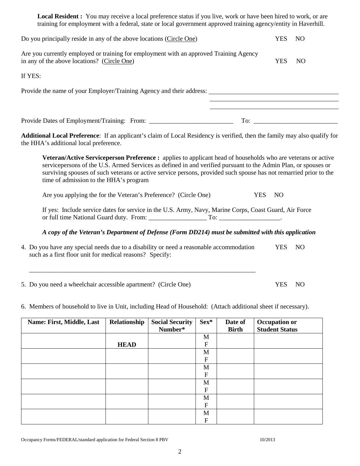| in any of the above locations? (Circle One)                                                                                                                                                                                                                                                                                                                                                   |             |         |                                          |              | <b>YES</b>                                                                                                           | N <sub>O</sub> |
|-----------------------------------------------------------------------------------------------------------------------------------------------------------------------------------------------------------------------------------------------------------------------------------------------------------------------------------------------------------------------------------------------|-------------|---------|------------------------------------------|--------------|----------------------------------------------------------------------------------------------------------------------|----------------|
| If YES:                                                                                                                                                                                                                                                                                                                                                                                       |             |         |                                          |              |                                                                                                                      |                |
|                                                                                                                                                                                                                                                                                                                                                                                               |             |         |                                          |              |                                                                                                                      |                |
|                                                                                                                                                                                                                                                                                                                                                                                               |             |         |                                          |              | <u> 1989 - Johann Stein, marwolaethau a bhann an t-Amhair an t-Amhair an t-Amhair an t-Amhair an t-Amhair an t-A</u> |                |
|                                                                                                                                                                                                                                                                                                                                                                                               |             |         |                                          |              |                                                                                                                      |                |
| <b>Additional Local Preference:</b> If an applicant's claim of Local Residency is verified, then the family may also qualify for<br>the HHA's additional local preference.                                                                                                                                                                                                                    |             |         |                                          |              |                                                                                                                      |                |
| Veteran/Active Serviceperson Preference : applies to applicant head of households who are veterans or active<br>servicepersons of the U.S. Armed Services as defined in and verified pursuant to the Admin Plan, or spouses or<br>surviving spouses of such veterans or active service persons, provided such spouse has not remarried prior to the<br>time of admission to the HHA's program |             |         |                                          |              |                                                                                                                      |                |
| Are you applying the for the Veteran's Preference? (Circle One)                                                                                                                                                                                                                                                                                                                               |             |         |                                          |              | <b>YES</b><br>NO                                                                                                     |                |
| If yes: Include service dates for service in the U.S. Army, Navy, Marine Corps, Coast Guard, Air Force                                                                                                                                                                                                                                                                                        |             |         |                                          |              |                                                                                                                      |                |
| A copy of the Veteran's Department of Defense (Form DD214) must be submitted with this application                                                                                                                                                                                                                                                                                            |             |         |                                          |              |                                                                                                                      |                |
| 4. Do you have any special needs due to a disability or need a reasonable accommodation<br>such as a first floor unit for medical reasons? Specify:                                                                                                                                                                                                                                           |             |         |                                          |              | <b>YES</b>                                                                                                           | N <sub>O</sub> |
| 5. Do you need a wheelchair accessible apartment? (Circle One)                                                                                                                                                                                                                                                                                                                                |             |         |                                          |              | <b>YES</b>                                                                                                           | N <sub>O</sub> |
| 6. Members of household to live in Unit, including Head of Household: (Attach additional sheet if necessary).                                                                                                                                                                                                                                                                                 |             |         |                                          |              |                                                                                                                      |                |
| Name: First, Middle, Last   Relationship   Social Security   Sex*   Date of                                                                                                                                                                                                                                                                                                                   |             | Number* |                                          | <b>Birth</b> | Occupation or<br><b>Student Status</b>                                                                               |                |
|                                                                                                                                                                                                                                                                                                                                                                                               | <b>HEAD</b> |         | M<br>${\bf F}$                           |              |                                                                                                                      |                |
|                                                                                                                                                                                                                                                                                                                                                                                               |             |         | $\mathbf M$<br>$\boldsymbol{\mathrm{F}}$ |              |                                                                                                                      |                |
|                                                                                                                                                                                                                                                                                                                                                                                               |             |         | $\mathbf M$                              |              |                                                                                                                      |                |
|                                                                                                                                                                                                                                                                                                                                                                                               |             |         | $\boldsymbol{\mathrm{F}}$<br>$\mathbf M$ |              |                                                                                                                      |                |
|                                                                                                                                                                                                                                                                                                                                                                                               |             |         | ${\bf F}$                                |              |                                                                                                                      |                |
|                                                                                                                                                                                                                                                                                                                                                                                               |             |         | $\mathbf{M}$<br>${\bf F}$                |              |                                                                                                                      |                |
|                                                                                                                                                                                                                                                                                                                                                                                               |             |         | $\mathbf M$<br>${\bf F}$                 |              |                                                                                                                      |                |
|                                                                                                                                                                                                                                                                                                                                                                                               |             |         |                                          |              |                                                                                                                      |                |

**Local Resident :** You may receive a local preference status if you live, work or have been hired to work, or are training for employment with a federal, state or local government approved training agency/entity in Haverhill.

Do you principally reside in any of the above locations (Circle One) YES NO

Are you currently employed or training for employment with an approved Training Agency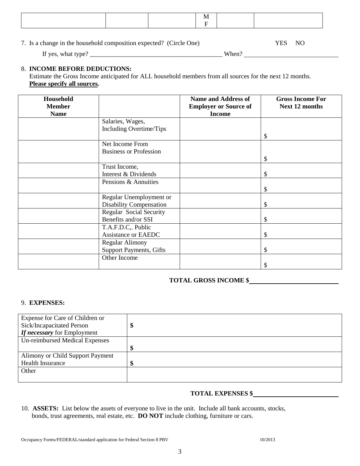7. Is a change in the household composition expected? (Circle One) YES NO

If yes, what type? \_\_\_\_\_\_\_\_\_\_\_\_\_\_\_\_\_\_\_\_\_\_\_\_\_\_\_\_\_\_\_\_\_\_\_\_\_\_\_\_\_ When?

#### 8. **INCOME BEFORE DEDUCTIONS:**

 Estimate the Gross Income anticipated for ALL household members from all sources for the next 12 months. **Please specify all sources.**

| Household<br><b>Member</b> |                                | <b>Name and Address of</b><br><b>Employer or Source of</b> | <b>Gross Income For</b><br><b>Next 12 months</b> |
|----------------------------|--------------------------------|------------------------------------------------------------|--------------------------------------------------|
| <b>Name</b>                |                                | <b>Income</b>                                              |                                                  |
|                            | Salaries, Wages,               |                                                            |                                                  |
|                            | Including Overtime/Tips        |                                                            |                                                  |
|                            |                                |                                                            | \$                                               |
|                            | Net Income From                |                                                            |                                                  |
|                            | <b>Business or Profession</b>  |                                                            |                                                  |
|                            |                                |                                                            | \$                                               |
|                            | Trust Income,                  |                                                            |                                                  |
|                            | Interest & Dividends           |                                                            | \$                                               |
|                            | Pensions & Annuities           |                                                            |                                                  |
|                            |                                |                                                            | S                                                |
|                            | Regular Unemployment or        |                                                            |                                                  |
|                            | <b>Disability Compensation</b> |                                                            | \$                                               |
|                            | Regular Social Security        |                                                            |                                                  |
|                            | Benefits and/or SSI            |                                                            | \$                                               |
|                            | T.A.F.D.C., Public             |                                                            |                                                  |
|                            | <b>Assistance or EAEDC</b>     |                                                            | \$                                               |
|                            | <b>Regular Alimony</b>         |                                                            |                                                  |
|                            | <b>Support Payments, Gifts</b> |                                                            | S                                                |
|                            | Other Income                   |                                                            |                                                  |
|                            |                                |                                                            |                                                  |

## **TOTAL GROSS INCOME \$**

#### 9. **EXPENSES:**

| Expense for Care of Children or  |         |
|----------------------------------|---------|
| Sick/Incapacitated Person        | Φ       |
| If necessary for Employment      |         |
| Un-reimbursed Medical Expenses   |         |
|                                  | Φ<br>٨D |
| Alimony or Child Support Payment |         |
| <b>Health Insurance</b>          | Φ       |
| Other                            |         |
|                                  |         |

#### **TOTAL EXPENSES \$**

10. **ASSETS:** List below the assets of everyone to live in the unit. Include all bank accounts, stocks, bonds, trust agreements, real estate, etc. **DO NOT** include clothing, furniture or cars.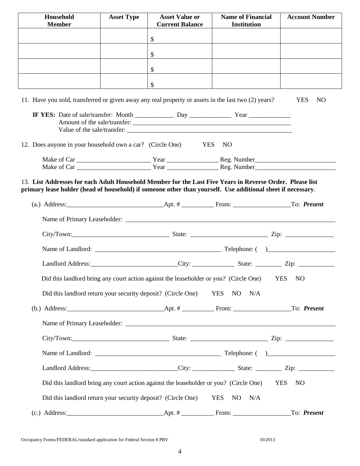| Household<br><b>Member</b>                                                                                                                                                                                              | <b>Asset Type</b> | <b>Asset Value or</b><br><b>Current Balance</b>                                       | <b>Name of Financial</b><br><b>Institution</b>       | <b>Account Number</b>        |
|-------------------------------------------------------------------------------------------------------------------------------------------------------------------------------------------------------------------------|-------------------|---------------------------------------------------------------------------------------|------------------------------------------------------|------------------------------|
|                                                                                                                                                                                                                         |                   | \$                                                                                    |                                                      |                              |
|                                                                                                                                                                                                                         |                   | \$                                                                                    |                                                      |                              |
|                                                                                                                                                                                                                         |                   | $\mathcal{S}$                                                                         |                                                      |                              |
|                                                                                                                                                                                                                         |                   | \$                                                                                    |                                                      |                              |
| 11. Have you sold, transferred or given away any real property or assets in the last two (2) years?                                                                                                                     |                   |                                                                                       |                                                      | <b>YES</b><br>NO.            |
|                                                                                                                                                                                                                         |                   |                                                                                       | Amount of the sale/transfer:                         |                              |
| 12. Does anyone in your household own a car? (Circle One)                                                                                                                                                               |                   | <b>YES</b>                                                                            | <b>NO</b>                                            |                              |
|                                                                                                                                                                                                                         |                   |                                                                                       |                                                      |                              |
|                                                                                                                                                                                                                         |                   |                                                                                       |                                                      |                              |
| 13. List Addresses for each Adult Household Member for the Last Five Years in Reverse Order. Please list<br>primary lease holder (head of household) if someone other than yourself. Use additional sheet if necessary. |                   |                                                                                       |                                                      |                              |
|                                                                                                                                                                                                                         |                   |                                                                                       |                                                      |                              |
|                                                                                                                                                                                                                         |                   |                                                                                       |                                                      |                              |
|                                                                                                                                                                                                                         |                   |                                                                                       |                                                      |                              |
|                                                                                                                                                                                                                         |                   |                                                                                       |                                                      |                              |
|                                                                                                                                                                                                                         |                   |                                                                                       | Landlord Address: City: City: State: Zip: Zip: 2. 2. |                              |
|                                                                                                                                                                                                                         |                   | Did this landlord bring any court action against the leaseholder or you? (Circle One) |                                                      | <b>YES</b><br>N <sub>O</sub> |
|                                                                                                                                                                                                                         |                   | Did this landlord return your security deposit? (Circle One) YES NO N/A               |                                                      |                              |
|                                                                                                                                                                                                                         |                   |                                                                                       |                                                      |                              |
|                                                                                                                                                                                                                         |                   |                                                                                       |                                                      |                              |
|                                                                                                                                                                                                                         |                   |                                                                                       |                                                      |                              |
|                                                                                                                                                                                                                         |                   |                                                                                       |                                                      |                              |
|                                                                                                                                                                                                                         |                   |                                                                                       | Landlord Address: City: City: State: Zip: Zip: 2.    |                              |
|                                                                                                                                                                                                                         |                   | Did this landlord bring any court action against the leaseholder or you? (Circle One) |                                                      | YES NO                       |
| Did this landlord return your security deposit? (Circle One)                                                                                                                                                            |                   |                                                                                       | YES NO<br>N/A                                        |                              |
| $(c.)$ Address:                                                                                                                                                                                                         |                   |                                                                                       |                                                      | To: Present                  |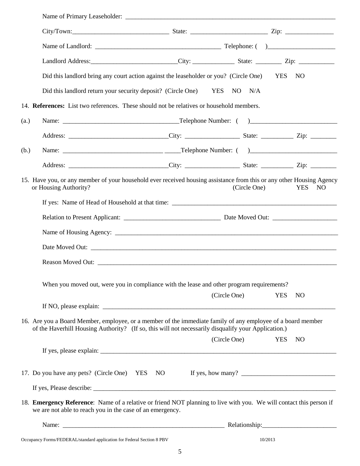|      |                                                           | Landlord Address: City: City: State: Zip: Zip: 2.                                                                                                                                                                  |              |                               |
|------|-----------------------------------------------------------|--------------------------------------------------------------------------------------------------------------------------------------------------------------------------------------------------------------------|--------------|-------------------------------|
|      |                                                           | Did this landlord bring any court action against the leaseholder or you? (Circle One)                                                                                                                              |              | <b>YES</b><br>NO              |
|      |                                                           | Did this landlord return your security deposit? (Circle One) YES                                                                                                                                                   | NO<br>N/A    |                               |
|      |                                                           | 14. References: List two references. These should not be relatives or household members.                                                                                                                           |              |                               |
| (a.) |                                                           |                                                                                                                                                                                                                    |              |                               |
|      |                                                           |                                                                                                                                                                                                                    |              |                               |
| (b.) |                                                           |                                                                                                                                                                                                                    |              |                               |
|      |                                                           |                                                                                                                                                                                                                    |              |                               |
|      | or Housing Authority?                                     | 15. Have you, or any member of your household ever received housing assistance from this or any other Housing Agency                                                                                               | (Circle One) | <b>YES</b><br>NO <sub>1</sub> |
|      |                                                           |                                                                                                                                                                                                                    |              |                               |
|      |                                                           |                                                                                                                                                                                                                    |              |                               |
|      |                                                           |                                                                                                                                                                                                                    |              |                               |
|      |                                                           |                                                                                                                                                                                                                    |              |                               |
|      |                                                           |                                                                                                                                                                                                                    |              |                               |
|      |                                                           | When you moved out, were you in compliance with the lease and other program requirements?                                                                                                                          |              |                               |
|      |                                                           |                                                                                                                                                                                                                    | (Circle One) | <b>YES</b><br>N <sub>O</sub>  |
|      |                                                           | 16. Are you a Board Member, employee, or a member of the immediate family of any employee of a board member<br>of the Haverhill Housing Authority? (If so, this will not necessarily disqualify your Application.) |              |                               |
|      |                                                           |                                                                                                                                                                                                                    | (Circle One) | <b>YES</b><br>N <sub>O</sub>  |
|      |                                                           |                                                                                                                                                                                                                    |              |                               |
|      |                                                           |                                                                                                                                                                                                                    |              |                               |
|      | we are not able to reach you in the case of an emergency. | 18. Emergency Reference: Name of a relative or friend NOT planning to live with you. We will contact this person if                                                                                                |              |                               |
|      |                                                           |                                                                                                                                                                                                                    |              |                               |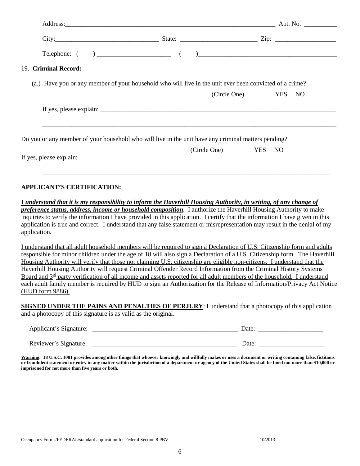| 19. Criminal Record: |                                                                                                         |                     |
|----------------------|---------------------------------------------------------------------------------------------------------|---------------------|
|                      | (a.) Have you or any member of your household who will live in the unit ever been convicted of a crime? |                     |
|                      |                                                                                                         | (Circle One) YES NO |
|                      |                                                                                                         |                     |
|                      |                                                                                                         |                     |
|                      | Do you or any member of your household who will live in the unit have any criminal matters pending?     |                     |
|                      | (Circle One) YES NO                                                                                     |                     |

**APPLICANT'S CERTIFICATION:**

*I understand that it is my responsibility to inform the Haverhill Housing Authority, in writing, of any change of preference status, address, income or household composition***.** I authorize the Haverhill Housing Authority to make inquiries to verify the information I have provided in this application. I certify that the information I have given in this application is true and correct. I understand that any false statement or misrepresentation may result in the denial of my application.

\_\_\_\_\_\_\_\_\_\_\_\_\_\_\_\_\_\_\_\_\_\_\_\_\_\_\_\_\_\_\_\_\_\_\_\_\_\_\_\_\_\_\_\_\_\_\_\_\_\_\_\_\_\_\_\_\_\_\_\_\_\_\_\_\_\_\_\_\_\_\_\_\_\_\_\_\_\_\_\_\_\_\_\_\_\_\_\_\_

I understand that all adult household members will be required to sign a Declaration of U.S. Citizenship form and adults responsible for minor children under the age of 18 will also sign a Declaration of a U.S. Citizenship form. The Haverhill Housing Authority will verify that those not claiming U.S. citizenship are eligible non-citizens. I understand that the Haverhill Housing Authority will request Criminal Offender Record Information from the Criminal History Systems Board and  $3<sup>rd</sup>$  party verification of all income and assets reported for all adult members of the household. I understand each adult family member is required by HUD to sign an Authorization for the Release of Information/Privacy Act Notice (HUD form 9886).

**SIGNED UNDER THE PAINS AND PENALTIES OF PERJURY**; I understand that a photocopy of this application and a photocopy of this signature is as valid as the original.

| Applicant's Signature: | Date |
|------------------------|------|
| Reviewer's Signature:  | Date |

Warning: 18 U.S.C. 1001 provides among other things that whoever knowingly and willfully makes or uses a document or writing containing false, fictitious **or fraudulent statement or entry in any matter within the jurisdiction of a department or agency of the United States shall be fined not more than \$10,000 or imprisoned for not more than five years or both.**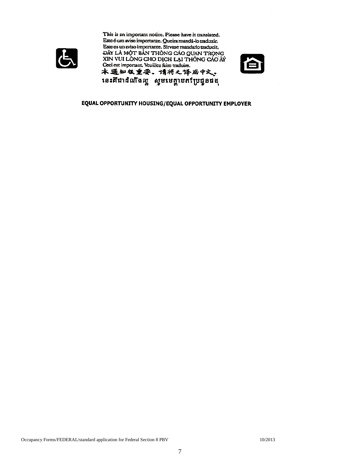

This is an important notice. Please have it translated. Este é um aviso importante. Queira mandá-lo traduzir. Este es un aviso importante. Sirvase mandarlo traducir.<br>ĐÂY LÀ MỘT BẢN THÔNG CÁO QUAN TRỌNG. XIN VUI LÒNG CHO DỊCH LẠI THÔNG CÁO ÂÝ Ceci est important. Veuillez faire traduire. 本通知很重要。请将之译成中文。 នេះគឺជាដំណឹងល្អ សូមមេត្តាបកប្រែដួនផង



#### EQUAL OPPORTUNITY HOUSING/EQUAL OPPORTUNITY EMPLOYER